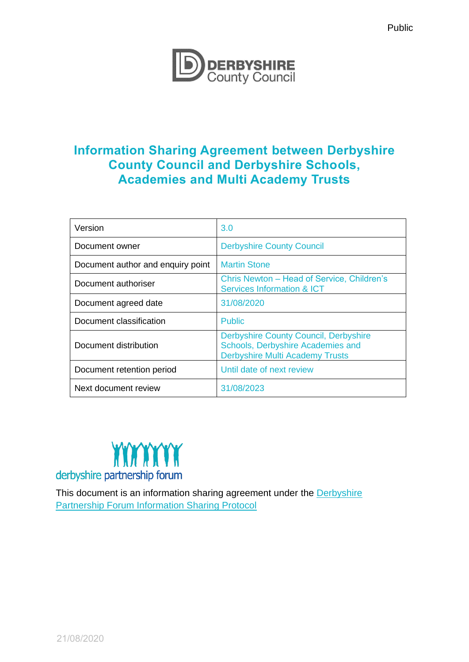

# **Information Sharing Agreement between Derbyshire County Council and Derbyshire Schools, Academies and Multi Academy Trusts**

| Version                           | 3.0                                                                                                                         |
|-----------------------------------|-----------------------------------------------------------------------------------------------------------------------------|
| Document owner                    | <b>Derbyshire County Council</b>                                                                                            |
| Document author and enquiry point | <b>Martin Stone</b>                                                                                                         |
| Document authoriser               | Chris Newton – Head of Service, Children's<br><b>Services Information &amp; ICT</b>                                         |
| Document agreed date              | 31/08/2020                                                                                                                  |
| Document classification           | <b>Public</b>                                                                                                               |
| Document distribution             | <b>Derbyshire County Council, Derbyshire</b><br>Schools, Derbyshire Academies and<br><b>Derbyshire Multi Academy Trusts</b> |
| Document retention period         | Until date of next review                                                                                                   |
| Next document review              | 31/08/2023                                                                                                                  |



This document is an information sharing agreement under the Derbyshire [Partnership Forum Information Sharing Protocol](https://www.derbyshirepartnership.gov.uk/about-us/about-us.aspx)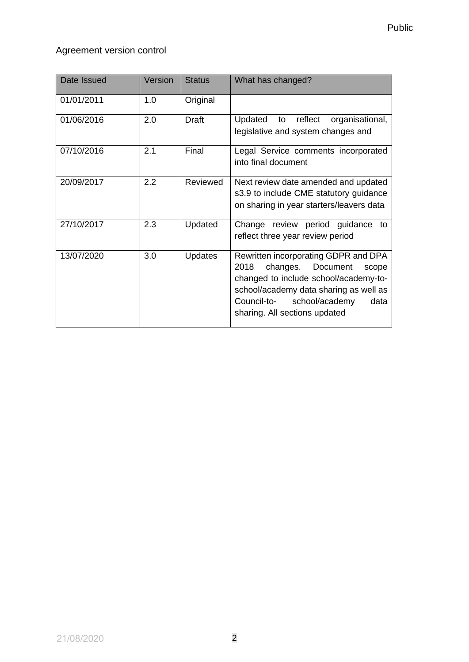## Agreement version control

| Date Issued | Version | <b>Status</b>  | What has changed?                                                                                                                                                                                                                       |
|-------------|---------|----------------|-----------------------------------------------------------------------------------------------------------------------------------------------------------------------------------------------------------------------------------------|
| 01/01/2011  | 1.0     | Original       |                                                                                                                                                                                                                                         |
| 01/06/2016  | 2.0     | <b>Draft</b>   | Updated to reflect<br>organisational,<br>legislative and system changes and                                                                                                                                                             |
| 07/10/2016  | 2.1     | Final          | Legal Service comments incorporated<br>into final document                                                                                                                                                                              |
| 20/09/2017  | 2.2     | Reviewed       | Next review date amended and updated<br>s3.9 to include CME statutory guidance<br>on sharing in year starters/leavers data                                                                                                              |
| 27/10/2017  | 2.3     | Updated        | Change review period guidance to<br>reflect three year review period                                                                                                                                                                    |
| 13/07/2020  | 3.0     | <b>Updates</b> | Rewritten incorporating GDPR and DPA<br>2018<br>changes. Document<br>scope<br>changed to include school/academy-to-<br>school/academy data sharing as well as<br>Council-to-<br>school/academy<br>data<br>sharing. All sections updated |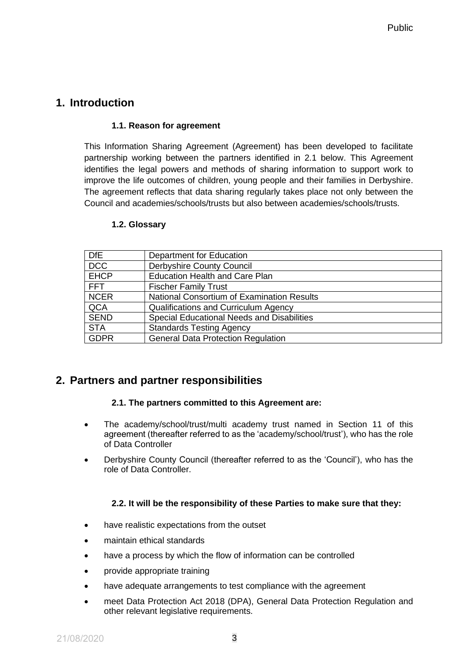## **1. Introduction**

#### **1.1. Reason for agreement**

This Information Sharing Agreement (Agreement) has been developed to facilitate partnership working between the partners identified in 2.1 below. This Agreement identifies the legal powers and methods of sharing information to support work to improve the life outcomes of children, young people and their families in Derbyshire. The agreement reflects that data sharing regularly takes place not only between the Council and academies/schools/trusts but also between academies/schools/trusts.

#### **1.2. Glossary**

| <b>DfE</b>  | Department for Education                          |
|-------------|---------------------------------------------------|
| <b>DCC</b>  | Derbyshire County Council                         |
| <b>EHCP</b> | <b>Education Health and Care Plan</b>             |
| <b>FFT</b>  | <b>Fischer Family Trust</b>                       |
| <b>NCER</b> | <b>National Consortium of Examination Results</b> |
| QCA         | <b>Qualifications and Curriculum Agency</b>       |
| <b>SEND</b> | Special Educational Needs and Disabilities        |
| <b>STA</b>  | <b>Standards Testing Agency</b>                   |
| <b>GDPR</b> | <b>General Data Protection Regulation</b>         |

## **2. Partners and partner responsibilities**

#### **2.1. The partners committed to this Agreement are:**

- The academy/school/trust/multi academy trust named in Section 11 of this agreement (thereafter referred to as the 'academy/school/trust'), who has the role of Data Controller
- Derbyshire County Council (thereafter referred to as the 'Council'), who has the role of Data Controller.

#### **2.2. It will be the responsibility of these Parties to make sure that they:**

- have realistic expectations from the outset
- maintain ethical standards
- have a process by which the flow of information can be controlled
- provide appropriate training
- have adequate arrangements to test compliance with the agreement
- meet Data Protection Act 2018 (DPA), General Data Protection Regulation and other relevant legislative requirements.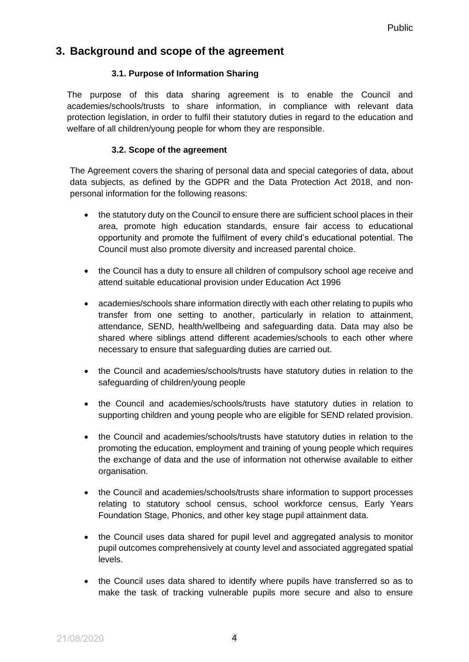## **3. Background and scope of the agreement**

### **3.1. Purpose of Information Sharing**

The purpose of this data sharing agreement is to enable the Council and academies/schools/trusts to share information, in compliance with relevant data protection legislation, in order to fulfil their statutory duties in regard to the education and welfare of all children/young people for whom they are responsible.

### **3.2. Scope of the agreement**

The Agreement covers the sharing of personal data and special categories of data, about data subjects, as defined by the GDPR and the Data Protection Act 2018, and nonpersonal information for the following reasons:

- the statutory duty on the Council to ensure there are sufficient school places in their area, promote high education standards, ensure fair access to educational opportunity and promote the fulfilment of every child's educational potential. The Council must also promote diversity and increased parental choice.
- the Council has a duty to ensure all children of compulsory school age receive and attend suitable educational provision under Education Act 1996
- academies/schools share information directly with each other relating to pupils who transfer from one setting to another, particularly in relation to attainment, attendance, SEND, health/wellbeing and safeguarding data. Data may also be shared where siblings attend different academies/schools to each other where necessary to ensure that safeguarding duties are carried out.
- the Council and academies/schools/trusts have statutory duties in relation to the safeguarding of children/young people
- the Council and academies/schools/trusts have statutory duties in relation to supporting children and young people who are eligible for SEND related provision.
- the Council and academies/schools/trusts have statutory duties in relation to the promoting the education, employment and training of young people which requires the exchange of data and the use of information not otherwise available to either organisation.
- the Council and academies/schools/trusts share information to support processes relating to statutory school census, school workforce census, Early Years Foundation Stage, Phonics, and other key stage pupil attainment data.
- the Council uses data shared for pupil level and aggregated analysis to monitor pupil outcomes comprehensively at county level and associated aggregated spatial levels.
- the Council uses data shared to identify where pupils have transferred so as to make the task of tracking vulnerable pupils more secure and also to ensure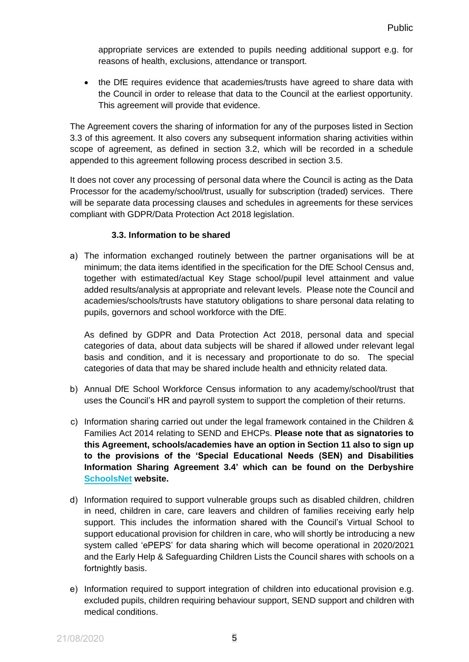appropriate services are extended to pupils needing additional support e.g. for reasons of health, exclusions, attendance or transport.

• the DfE requires evidence that academies/trusts have agreed to share data with the Council in order to release that data to the Council at the earliest opportunity. This agreement will provide that evidence.

The Agreement covers the sharing of information for any of the purposes listed in Section 3.3 of this agreement. It also covers any subsequent information sharing activities within scope of agreement, as defined in section 3.2, which will be recorded in a schedule appended to this agreement following process described in section 3.5.

It does not cover any processing of personal data where the Council is acting as the Data Processor for the academy/school/trust, usually for subscription (traded) services. There will be separate data processing clauses and schedules in agreements for these services compliant with GDPR/Data Protection Act 2018 legislation.

#### **3.3. Information to be shared**

a) The information exchanged routinely between the partner organisations will be at minimum; the data items identified in the specification for the DfE School Census and, together with estimated/actual Key Stage school/pupil level attainment and value added results/analysis at appropriate and relevant levels. Please note the Council and academies/schools/trusts have statutory obligations to share personal data relating to pupils, governors and school workforce with the DfE.

As defined by GDPR and Data Protection Act 2018, personal data and special categories of data, about data subjects will be shared if allowed under relevant legal basis and condition, and it is necessary and proportionate to do so. The special categories of data that may be shared include health and ethnicity related data.

- b) Annual DfE School Workforce Census information to any academy/school/trust that uses the Council's HR and payroll system to support the completion of their returns.
- c) Information sharing carried out under the legal framework contained in the Children & Families Act 2014 relating to SEND and EHCPs. **Please note that as signatories to this Agreement, schools/academies have an option in Section 11 also to sign up to the provisions of the 'Special Educational Needs (SEN) and Disabilities Information Sharing Agreement 3.4' which can be found on the Derbyshire [SchoolsNet](https://schoolsnet.derbyshire.gov.uk/administration-services-and-support/information-governance/information-sharing.aspx) website.**
- d) Information required to support vulnerable groups such as disabled children, children in need, children in care, care leavers and children of families receiving early help support. This includes the information shared with the Council's Virtual School to support educational provision for children in care, who will shortly be introducing a new system called 'ePEPS' for data sharing which will become operational in 2020/2021 and the Early Help & Safeguarding Children Lists the Council shares with schools on a fortnightly basis.
- e) Information required to support integration of children into educational provision e.g. excluded pupils, children requiring behaviour support, SEND support and children with medical conditions.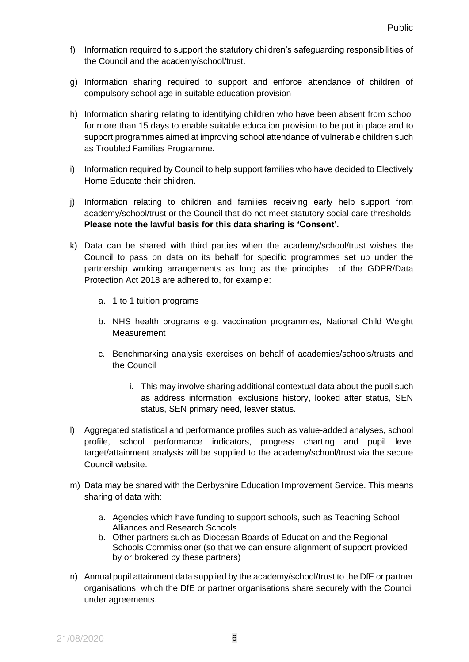- f) Information required to support the statutory children's safeguarding responsibilities of the Council and the academy/school/trust.
- g) Information sharing required to support and enforce attendance of children of compulsory school age in suitable education provision
- h) Information sharing relating to identifying children who have been absent from school for more than 15 days to enable suitable education provision to be put in place and to support programmes aimed at improving school attendance of vulnerable children such as Troubled Families Programme.
- i) Information required by Council to help support families who have decided to Electively Home Educate their children.
- j) Information relating to children and families receiving early help support from academy/school/trust or the Council that do not meet statutory social care thresholds. **Please note the lawful basis for this data sharing is 'Consent'.**
- k) Data can be shared with third parties when the academy/school/trust wishes the Council to pass on data on its behalf for specific programmes set up under the partnership working arrangements as long as the principles of the GDPR/Data Protection Act 2018 are adhered to, for example:
	- a. 1 to 1 tuition programs
	- b. NHS health programs e.g. vaccination programmes, National Child Weight **Measurement**
	- c. Benchmarking analysis exercises on behalf of academies/schools/trusts and the Council
		- i. This may involve sharing additional contextual data about the pupil such as address information, exclusions history, looked after status, SEN status, SEN primary need, leaver status.
- l) Aggregated statistical and performance profiles such as value-added analyses, school profile, school performance indicators, progress charting and pupil level target/attainment analysis will be supplied to the academy/school/trust via the secure Council website.
- m) Data may be shared with the Derbyshire Education Improvement Service. This means sharing of data with:
	- a. Agencies which have funding to support schools, such as Teaching School Alliances and Research Schools
	- b. Other partners such as Diocesan Boards of Education and the Regional Schools Commissioner (so that we can ensure alignment of support provided by or brokered by these partners)
- n) Annual pupil attainment data supplied by the academy/school/trust to the DfE or partner organisations, which the DfE or partner organisations share securely with the Council under agreements.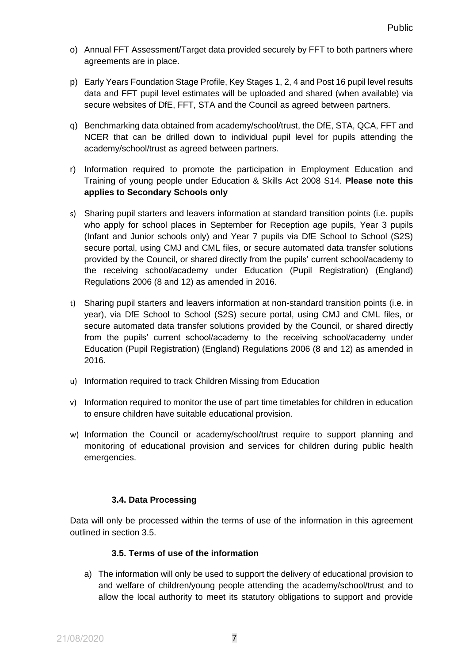- o) Annual FFT Assessment/Target data provided securely by FFT to both partners where agreements are in place.
- p) Early Years Foundation Stage Profile, Key Stages 1, 2, 4 and Post 16 pupil level results data and FFT pupil level estimates will be uploaded and shared (when available) via secure websites of DfE, FFT, STA and the Council as agreed between partners.
- q) Benchmarking data obtained from academy/school/trust, the DfE, STA, QCA, FFT and NCER that can be drilled down to individual pupil level for pupils attending the academy/school/trust as agreed between partners.
- r) Information required to promote the participation in Employment Education and Training of young people under Education & Skills Act 2008 S14. **Please note this applies to Secondary Schools only**
- s) Sharing pupil starters and leavers information at standard transition points (i.e. pupils who apply for school places in September for Reception age pupils, Year 3 pupils (Infant and Junior schools only) and Year 7 pupils via DfE School to School (S2S) secure portal, using CMJ and CML files, or secure automated data transfer solutions provided by the Council, or shared directly from the pupils' current school/academy to the receiving school/academy under Education (Pupil Registration) (England) Regulations 2006 (8 and 12) as amended in 2016.
- t) Sharing pupil starters and leavers information at non-standard transition points (i.e. in year), via DfE School to School (S2S) secure portal, using CMJ and CML files, or secure automated data transfer solutions provided by the Council, or shared directly from the pupils' current school/academy to the receiving school/academy under Education (Pupil Registration) (England) Regulations 2006 (8 and 12) as amended in 2016.
- u) Information required to track Children Missing from Education
- v) Information required to monitor the use of part time timetables for children in education to ensure children have suitable educational provision.
- w) Information the Council or academy/school/trust require to support planning and monitoring of educational provision and services for children during public health emergencies.

### **3.4. Data Processing**

Data will only be processed within the terms of use of the information in this agreement outlined in section 3.5.

#### **3.5. Terms of use of the information**

a) The information will only be used to support the delivery of educational provision to and welfare of children/young people attending the academy/school/trust and to allow the local authority to meet its statutory obligations to support and provide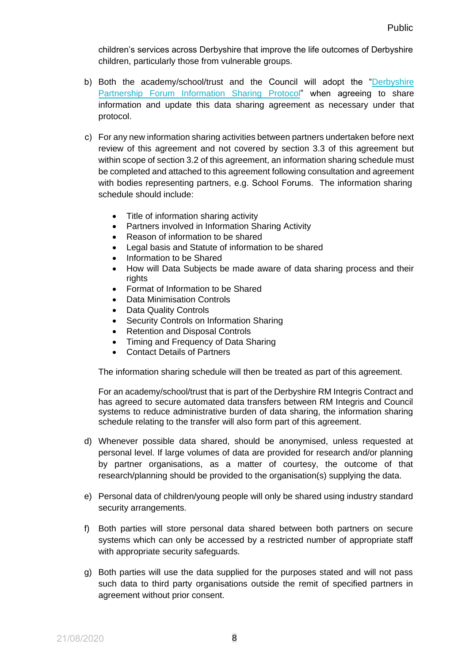children's services across Derbyshire that improve the life outcomes of Derbyshire children, particularly those from vulnerable groups.

- b) Both the academy/school/trust and the Council will adopt the ["Derbyshire](https://www.derbyshirepartnership.gov.uk/about-us/about-us.aspx) [Partnership Forum Information Sharing Protocol"](https://www.derbyshirepartnership.gov.uk/about-us/about-us.aspx) when agreeing to share information and update this data sharing agreement as necessary under that protocol.
- c) For any new information sharing activities between partners undertaken before next review of this agreement and not covered by section 3.3 of this agreement but within scope of section 3.2 of this agreement, an information sharing schedule must be completed and attached to this agreement following consultation and agreement with bodies representing partners, e.g. School Forums. The information sharing schedule should include:
	- Title of information sharing activity
	- Partners involved in Information Sharing Activity
	- Reason of information to be shared
	- Legal basis and Statute of information to be shared
	- Information to be Shared
	- How will Data Subjects be made aware of data sharing process and their rights
	- Format of Information to be Shared
	- Data Minimisation Controls
	- Data Quality Controls
	- Security Controls on Information Sharing
	- Retention and Disposal Controls
	- Timing and Frequency of Data Sharing
	- Contact Details of Partners

The information sharing schedule will then be treated as part of this agreement.

For an academy/school/trust that is part of the Derbyshire RM Integris Contract and has agreed to secure automated data transfers between RM Integris and Council systems to reduce administrative burden of data sharing, the information sharing schedule relating to the transfer will also form part of this agreement.

- d) Whenever possible data shared, should be anonymised, unless requested at personal level. If large volumes of data are provided for research and/or planning by partner organisations, as a matter of courtesy, the outcome of that research/planning should be provided to the organisation(s) supplying the data.
- e) Personal data of children/young people will only be shared using industry standard security arrangements.
- f) Both parties will store personal data shared between both partners on secure systems which can only be accessed by a restricted number of appropriate staff with appropriate security safeguards.
- g) Both parties will use the data supplied for the purposes stated and will not pass such data to third party organisations outside the remit of specified partners in agreement without prior consent.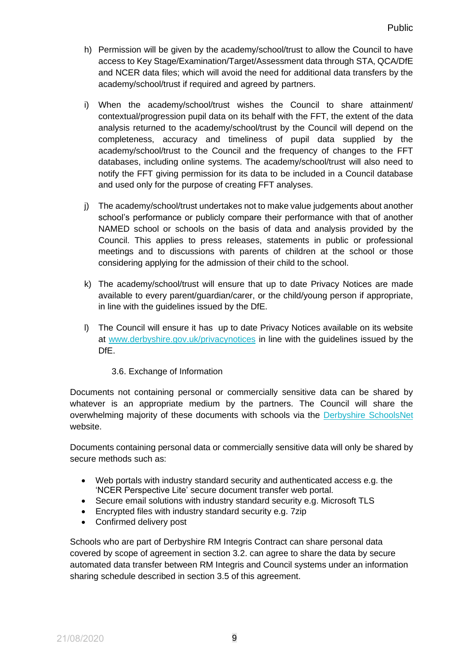- h) Permission will be given by the academy/school/trust to allow the Council to have access to Key Stage/Examination/Target/Assessment data through STA, QCA/DfE and NCER data files; which will avoid the need for additional data transfers by the academy/school/trust if required and agreed by partners.
- i) When the academy/school/trust wishes the Council to share attainment/ contextual/progression pupil data on its behalf with the FFT, the extent of the data analysis returned to the academy/school/trust by the Council will depend on the completeness, accuracy and timeliness of pupil data supplied by the academy/school/trust to the Council and the frequency of changes to the FFT databases, including online systems. The academy/school/trust will also need to notify the FFT giving permission for its data to be included in a Council database and used only for the purpose of creating FFT analyses.
- j) The academy/school/trust undertakes not to make value judgements about another school's performance or publicly compare their performance with that of another NAMED school or schools on the basis of data and analysis provided by the Council. This applies to press releases, statements in public or professional meetings and to discussions with parents of children at the school or those considering applying for the admission of their child to the school.
- k) The academy/school/trust will ensure that up to date Privacy Notices are made available to every parent/guardian/carer, or the child/young person if appropriate, in line with the guidelines issued by the DfE.
- l) The Council will ensure it has up to date Privacy Notices available on its website at [www.derbyshire.gov.uk/privacynotices](http://www.derbyshire.gov.uk/privacynotices) in line with the guidelines issued by the DfE.
	- 3.6. Exchange of Information

Documents not containing personal or commercially sensitive data can be shared by whatever is an appropriate medium by the partners. The Council will share the overwhelming majority of these documents with schools via the [Derbyshire SchoolsNet](https://schoolsnet.derbyshire.gov.uk/home.aspx) website.

Documents containing personal data or commercially sensitive data will only be shared by secure methods such as:

- Web portals with industry standard security and authenticated access e.g. the 'NCER Perspective Lite' secure document transfer web portal.
- Secure email solutions with industry standard security e.g. Microsoft TLS
- Encrypted files with industry standard security e.g. 7zip
- Confirmed delivery post

Schools who are part of Derbyshire RM Integris Contract can share personal data covered by scope of agreement in section 3.2. can agree to share the data by secure automated data transfer between RM Integris and Council systems under an information sharing schedule described in section 3.5 of this agreement.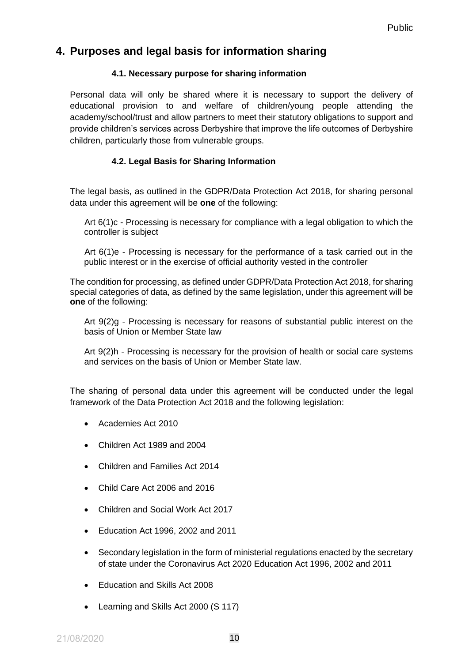## **4. Purposes and legal basis for information sharing**

#### **4.1. Necessary purpose for sharing information**

Personal data will only be shared where it is necessary to support the delivery of educational provision to and welfare of children/young people attending the academy/school/trust and allow partners to meet their statutory obligations to support and provide children's services across Derbyshire that improve the life outcomes of Derbyshire children, particularly those from vulnerable groups.

### **4.2. Legal Basis for Sharing Information**

The legal basis, as outlined in the GDPR/Data Protection Act 2018, for sharing personal data under this agreement will be **one** of the following:

Art 6(1)c - Processing is necessary for compliance with a legal obligation to which the controller is subject

Art 6(1)e - Processing is necessary for the performance of a task carried out in the public interest or in the exercise of official authority vested in the controller

The condition for processing, as defined under GDPR/Data Protection Act 2018, for sharing special categories of data, as defined by the same legislation, under this agreement will be **one** of the following:

Art 9(2)g - Processing is necessary for reasons of substantial public interest on the basis of Union or Member State law

Art 9(2)h - Processing is necessary for the provision of health or social care systems and services on the basis of Union or Member State law.

The sharing of personal data under this agreement will be conducted under the legal framework of the Data Protection Act 2018 and the following legislation:

- Academies Act 2010
- Children Act 1989 and 2004
- Children and Families Act 2014
- Child Care Act 2006 and 2016
- Children and Social Work Act 2017
- Education Act 1996, 2002 and 2011
- Secondary legislation in the form of ministerial regulations enacted by the secretary of state under the Coronavirus Act 2020 Education Act 1996, 2002 and 2011
- Education and Skills Act 2008
- Learning and Skills Act 2000 (S 117)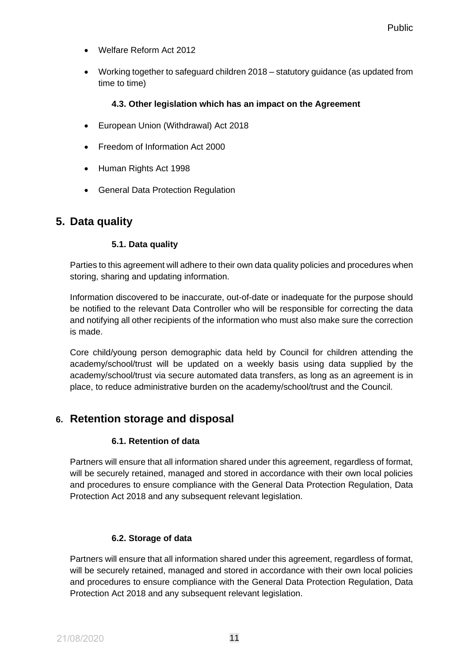- Welfare Reform Act 2012
- Working together to safeguard children 2018 statutory guidance (as updated from time to time)

#### **4.3. Other legislation which has an impact on the Agreement**

- European Union (Withdrawal) Act 2018
- Freedom of Information Act 2000
- Human Rights Act 1998
- General Data Protection Regulation

## **5. Data quality**

### **5.1. Data quality**

Parties to this agreement will adhere to their own data quality policies and procedures when storing, sharing and updating information.

Information discovered to be inaccurate, out-of-date or inadequate for the purpose should be notified to the relevant Data Controller who will be responsible for correcting the data and notifying all other recipients of the information who must also make sure the correction is made.

Core child/young person demographic data held by Council for children attending the academy/school/trust will be updated on a weekly basis using data supplied by the academy/school/trust via secure automated data transfers, as long as an agreement is in place, to reduce administrative burden on the academy/school/trust and the Council.

## **6. Retention storage and disposal**

### **6.1. Retention of data**

Partners will ensure that all information shared under this agreement, regardless of format, will be securely retained, managed and stored in accordance with their own local policies and procedures to ensure compliance with the General Data Protection Regulation, Data Protection Act 2018 and any subsequent relevant legislation.

### **6.2. Storage of data**

Partners will ensure that all information shared under this agreement, regardless of format, will be securely retained, managed and stored in accordance with their own local policies and procedures to ensure compliance with the General Data Protection Regulation, Data Protection Act 2018 and any subsequent relevant legislation.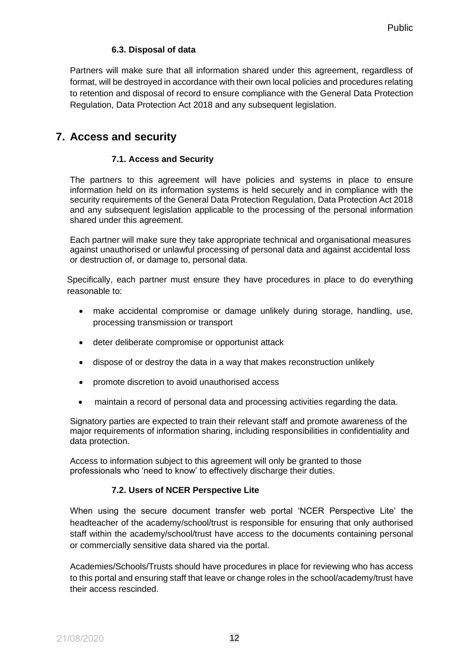#### **6.3. Disposal of data**

Partners will make sure that all information shared under this agreement, regardless of format, will be destroyed in accordance with their own local policies and procedures relating to retention and disposal of record to ensure compliance with the General Data Protection Regulation, Data Protection Act 2018 and any subsequent legislation.

## **7. Access and security**

#### **7.1. Access and Security**

The partners to this agreement will have policies and systems in place to ensure information held on its information systems is held securely and in compliance with the security requirements of the General Data Protection Regulation, Data Protection Act 2018 and any subsequent legislation applicable to the processing of the personal information shared under this agreement.

Each partner will make sure they take appropriate technical and organisational measures against unauthorised or unlawful processing of personal data and against accidental loss or destruction of, or damage to, personal data.

Specifically, each partner must ensure they have procedures in place to do everything reasonable to:

- make accidental compromise or damage unlikely during storage, handling, use, processing transmission or transport
- deter deliberate compromise or opportunist attack
- dispose of or destroy the data in a way that makes reconstruction unlikely
- promote discretion to avoid unauthorised access
- maintain a record of personal data and processing activities regarding the data.

Signatory parties are expected to train their relevant staff and promote awareness of the major requirements of information sharing, including responsibilities in confidentiality and data protection.

Access to information subject to this agreement will only be granted to those professionals who 'need to know' to effectively discharge their duties.

#### **7.2. Users of NCER Perspective Lite**

When using the secure document transfer web portal 'NCER Perspective Lite' the headteacher of the academy/school/trust is responsible for ensuring that only authorised staff within the academy/school/trust have access to the documents containing personal or commercially sensitive data shared via the portal.

Academies/Schools/Trusts should have procedures in place for reviewing who has access to this portal and ensuring staff that leave or change roles in the school/academy/trust have their access rescinded.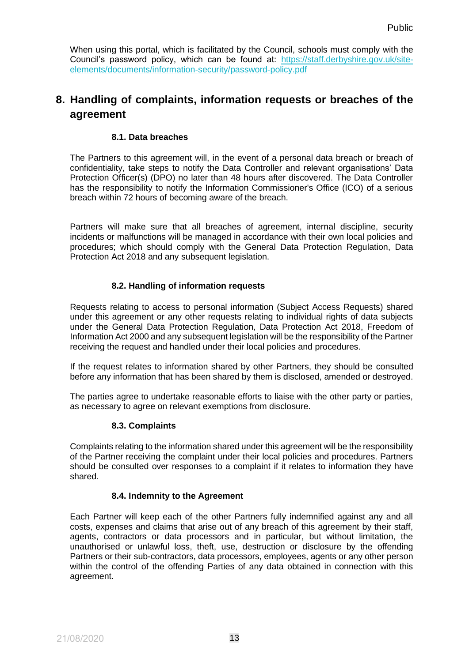When using this portal, which is facilitated by the Council, schools must comply with the Council's password policy, which can be found at: [https://staff.derbyshire.gov.uk/site](https://staff.derbyshire.gov.uk/site-elements/documents/information-security/password-policy.pdf)[elements/documents/information-security/password-policy.pdf](https://staff.derbyshire.gov.uk/site-elements/documents/information-security/password-policy.pdf)

## **8. Handling of complaints, information requests or breaches of the agreement**

#### **8.1. Data breaches**

The Partners to this agreement will, in the event of a personal data breach or breach of confidentiality, take steps to notify the Data Controller and relevant organisations' Data Protection Officer(s) (DPO) no later than 48 hours after discovered. The Data Controller has the responsibility to notify the Information Commissioner's Office (ICO) of a serious breach within 72 hours of becoming aware of the breach.

Partners will make sure that all breaches of agreement, internal discipline, security incidents or malfunctions will be managed in accordance with their own local policies and procedures; which should comply with the General Data Protection Regulation, Data Protection Act 2018 and any subsequent legislation.

#### **8.2. Handling of information requests**

Requests relating to access to personal information (Subject Access Requests) shared under this agreement or any other requests relating to individual rights of data subjects under the General Data Protection Regulation, Data Protection Act 2018, Freedom of Information Act 2000 and any subsequent legislation will be the responsibility of the Partner receiving the request and handled under their local policies and procedures.

If the request relates to information shared by other Partners, they should be consulted before any information that has been shared by them is disclosed, amended or destroyed.

The parties agree to undertake reasonable efforts to liaise with the other party or parties, as necessary to agree on relevant exemptions from disclosure.

#### **8.3. Complaints**

Complaints relating to the information shared under this agreement will be the responsibility of the Partner receiving the complaint under their local policies and procedures. Partners should be consulted over responses to a complaint if it relates to information they have shared.

#### **8.4. Indemnity to the Agreement**

Each Partner will keep each of the other Partners fully indemnified against any and all costs, expenses and claims that arise out of any breach of this agreement by their staff, agents, contractors or data processors and in particular, but without limitation, the unauthorised or unlawful loss, theft, use, destruction or disclosure by the offending Partners or their sub-contractors, data processors, employees, agents or any other person within the control of the offending Parties of any data obtained in connection with this agreement.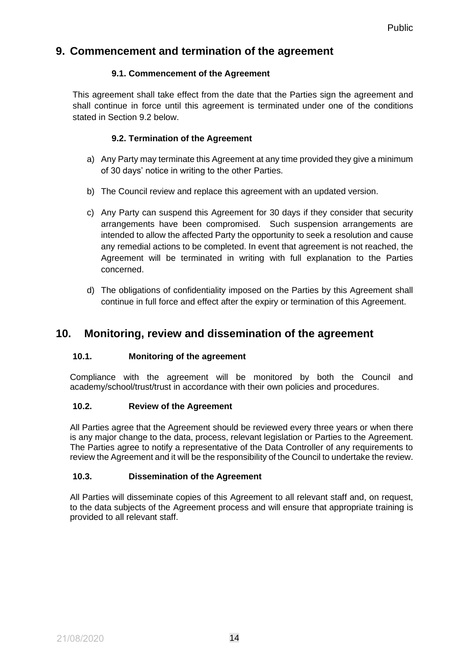## **9. Commencement and termination of the agreement**

### **9.1. Commencement of the Agreement**

This agreement shall take effect from the date that the Parties sign the agreement and shall continue in force until this agreement is terminated under one of the conditions stated in Section 9.2 below.

## **9.2. Termination of the Agreement**

- a) Any Party may terminate this Agreement at any time provided they give a minimum of 30 days' notice in writing to the other Parties.
- b) The Council review and replace this agreement with an updated version.
- c) Any Party can suspend this Agreement for 30 days if they consider that security arrangements have been compromised. Such suspension arrangements are intended to allow the affected Party the opportunity to seek a resolution and cause any remedial actions to be completed. In event that agreement is not reached, the Agreement will be terminated in writing with full explanation to the Parties concerned.
- d) The obligations of confidentiality imposed on the Parties by this Agreement shall continue in full force and effect after the expiry or termination of this Agreement.

## **10. Monitoring, review and dissemination of the agreement**

### **10.1. Monitoring of the agreement**

Compliance with the agreement will be monitored by both the Council and academy/school/trust/trust in accordance with their own policies and procedures.

### **10.2. Review of the Agreement**

All Parties agree that the Agreement should be reviewed every three years or when there is any major change to the data, process, relevant legislation or Parties to the Agreement. The Parties agree to notify a representative of the Data Controller of any requirements to review the Agreement and it will be the responsibility of the Council to undertake the review.

### **10.3. Dissemination of the Agreement**

All Parties will disseminate copies of this Agreement to all relevant staff and, on request, to the data subjects of the Agreement process and will ensure that appropriate training is provided to all relevant staff.